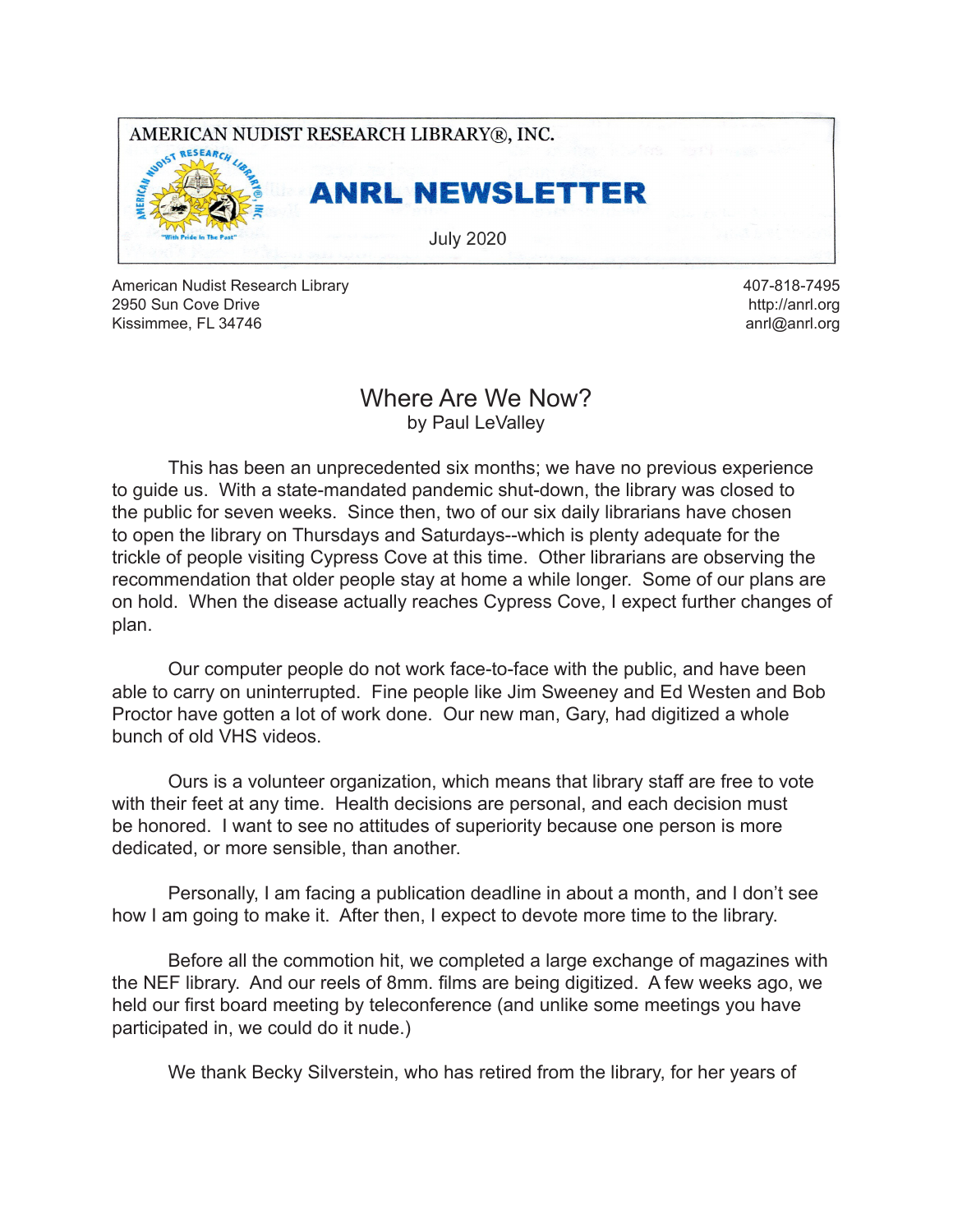

American Nudist Research Library 2950 Sun Cove Drive Kissimmee, FL 34746

407-818-7495 http://anrl.org anrl@anrl.org

### Where Are We Now? by Paul LeValley

This has been an unprecedented six months; we have no previous experience to guide us. With a state-mandated pandemic shut-down, the library was closed to the public for seven weeks. Since then, two of our six daily librarians have chosen to open the library on Thursdays and Saturdays--which is plenty adequate for the trickle of people visiting Cypress Cove at this time. Other librarians are observing the recommendation that older people stay at home a while longer. Some of our plans are on hold. When the disease actually reaches Cypress Cove, I expect further changes of plan.

Our computer people do not work face-to-face with the public, and have been able to carry on uninterrupted. Fine people like Jim Sweeney and Ed Westen and Bob Proctor have gotten a lot of work done. Our new man, Gary, had digitized a whole bunch of old VHS videos.

 Ours is a volunteer organization, which means that library staff are free to vote with their feet at any time. Health decisions are personal, and each decision must be honored. I want to see no attitudes of superiority because one person is more dedicated, or more sensible, than another.

Personally, I am facing a publication deadline in about a month, and I don't see how I am going to make it. After then, I expect to devote more time to the library.

Before all the commotion hit, we completed a large exchange of magazines with the NEF library. And our reels of 8mm. films are being digitized. A few weeks ago, we held our first board meeting by teleconference (and unlike some meetings you have participated in, we could do it nude.)

We thank Becky Silverstein, who has retired from the library, for her years of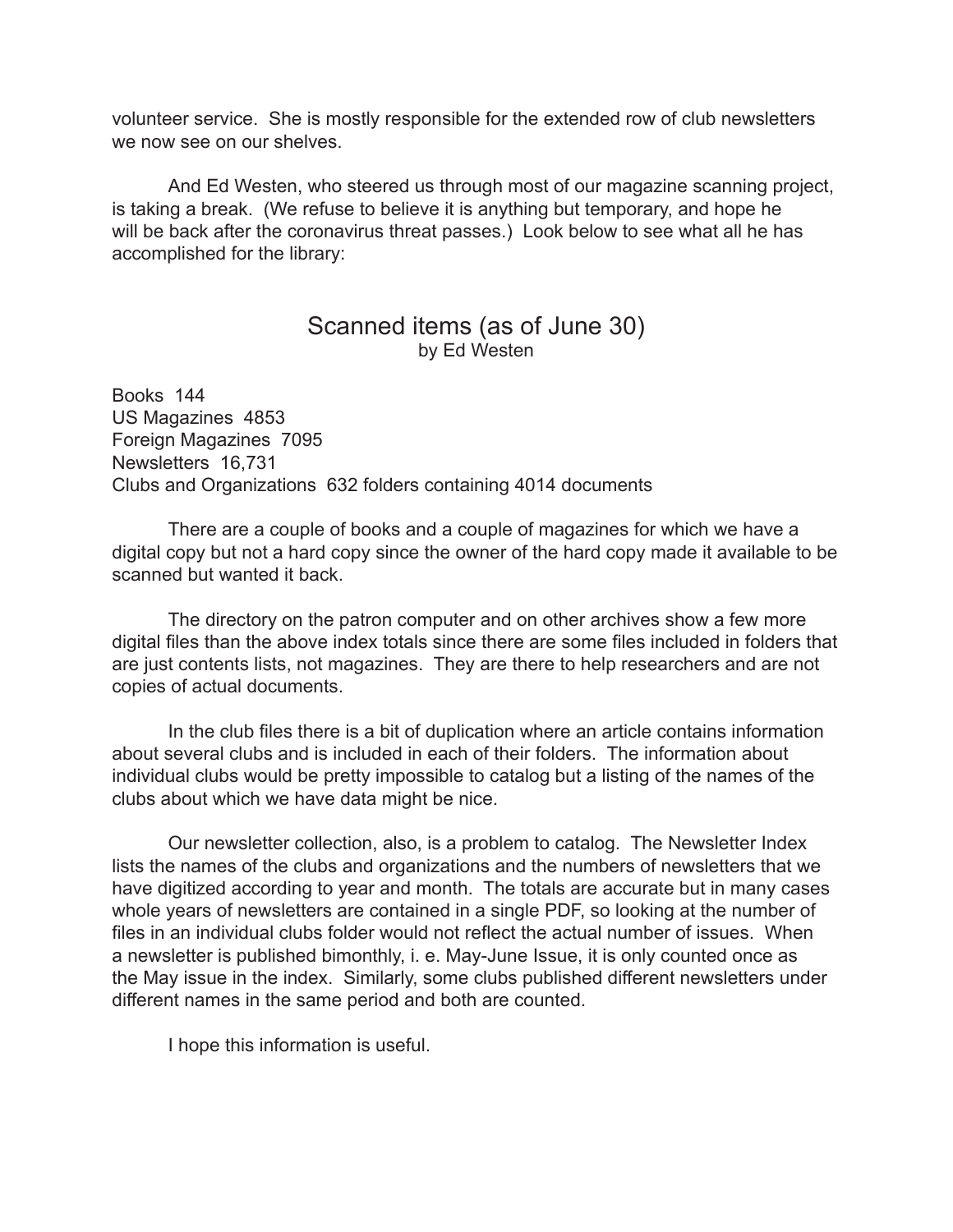volunteer service. She is mostly responsible for the extended row of club newsletters we now see on our shelves.

And Ed Westen, who steered us through most of our magazine scanning project, is taking a break. (We refuse to believe it is anything but temporary, and hope he will be back after the coronavirus threat passes.) Look below to see what all he has accomplished for the library:

## Scanned items (as of June 30) by Ed Westen

Books 144 US Magazines 4853 Foreign Magazines 7095 Newsletters 16,731 Clubs and Organizations 632 folders containing 4014 documents

There are a couple of books and a couple of magazines for which we have a digital copy but not a hard copy since the owner of the hard copy made it available to be scanned but wanted it back.

The directory on the patron computer and on other archives show a few more digital files than the above index totals since there are some files included in folders that are just contents lists, not magazines. They are there to help researchers and are not copies of actual documents.

 In the club files there is a bit of duplication where an article contains information about several clubs and is included in each of their folders. The information about individual clubs would be pretty impossible to catalog but a listing of the names of the clubs about which we have data might be nice.

Our newsletter collection, also, is a problem to catalog. The Newsletter Index lists the names of the clubs and organizations and the numbers of newsletters that we have digitized according to year and month. The totals are accurate but in many cases whole years of newsletters are contained in a single PDF, so looking at the number of files in an individual clubs folder would not reflect the actual number of issues. When a newsletter is published bimonthly, i. e. May-June Issue, it is only counted once as the May issue in the index. Similarly, some clubs published different newsletters under different names in the same period and both are counted.

I hope this information is useful.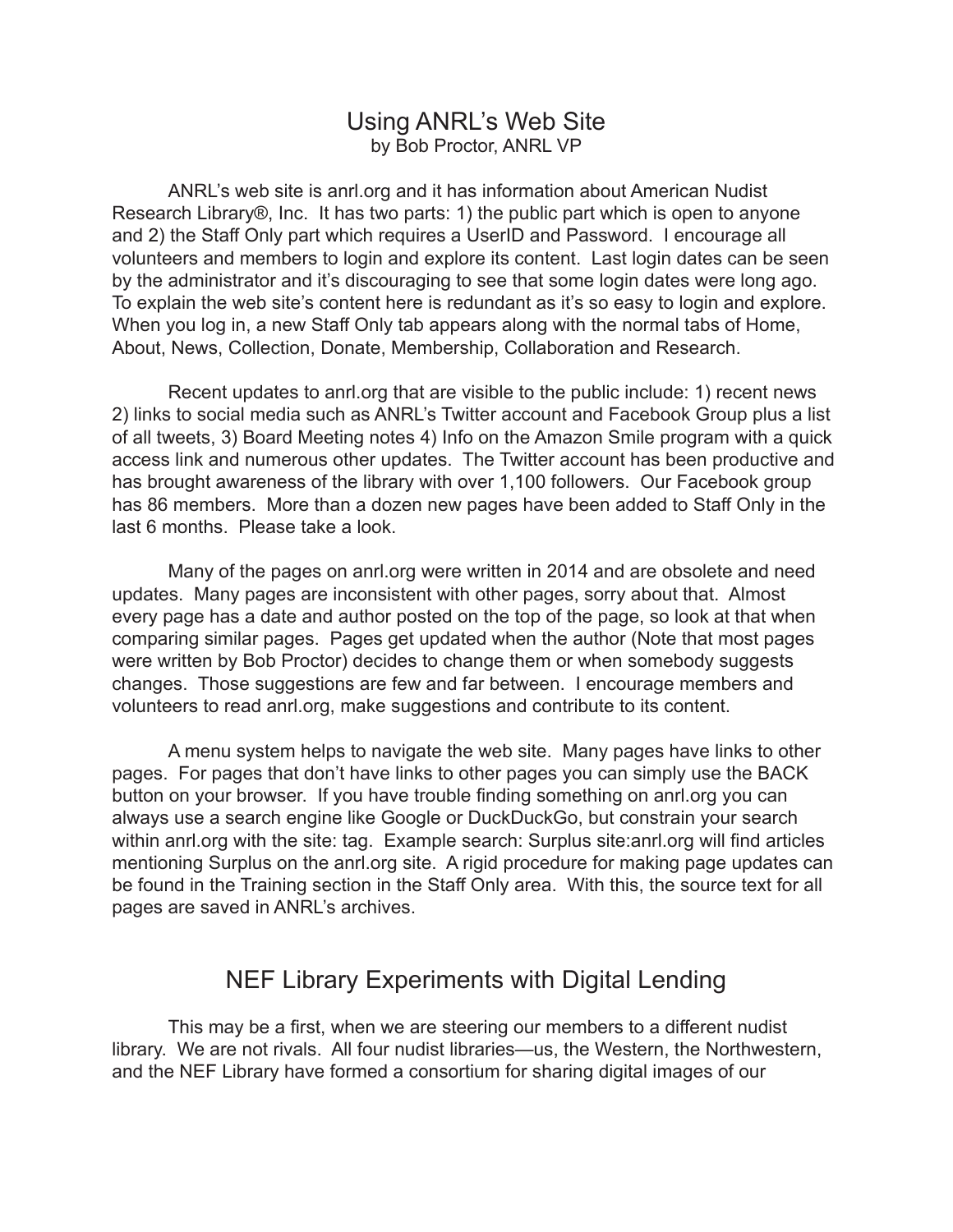### Using ANRL's Web Site by Bob Proctor, ANRL VP

ANRL's web site is anrl.org and it has information about American Nudist Research Library®, Inc. It has two parts: 1) the public part which is open to anyone and 2) the Staff Only part which requires a UserID and Password. I encourage all volunteers and members to login and explore its content. Last login dates can be seen by the administrator and it's discouraging to see that some login dates were long ago. To explain the web site's content here is redundant as it's so easy to login and explore. When you log in, a new Staff Only tab appears along with the normal tabs of Home, About, News, Collection, Donate, Membership, Collaboration and Research.

Recent updates to anrl.org that are visible to the public include: 1) recent news 2) links to social media such as ANRL's Twitter account and Facebook Group plus a list of all tweets, 3) Board Meeting notes 4) Info on the Amazon Smile program with a quick access link and numerous other updates. The Twitter account has been productive and has brought awareness of the library with over 1,100 followers. Our Facebook group has 86 members. More than a dozen new pages have been added to Staff Only in the last 6 months. Please take a look.

Many of the pages on anrl.org were written in 2014 and are obsolete and need updates. Many pages are inconsistent with other pages, sorry about that. Almost every page has a date and author posted on the top of the page, so look at that when comparing similar pages. Pages get updated when the author (Note that most pages were written by Bob Proctor) decides to change them or when somebody suggests changes. Those suggestions are few and far between. I encourage members and volunteers to read anrl.org, make suggestions and contribute to its content.

A menu system helps to navigate the web site. Many pages have links to other pages. For pages that don't have links to other pages you can simply use the BACK button on your browser. If you have trouble finding something on anrl.org you can always use a search engine like Google or DuckDuckGo, but constrain your search within anrl.org with the site: tag. Example search: Surplus site:anrl.org will find articles mentioning Surplus on the anrl.org site. A rigid procedure for making page updates can be found in the Training section in the Staff Only area. With this, the source text for all pages are saved in ANRL's archives.

## NEF Library Experiments with Digital Lending

 This may be a first, when we are steering our members to a different nudist library. We are not rivals. All four nudist libraries—us, the Western, the Northwestern, and the NEF Library have formed a consortium for sharing digital images of our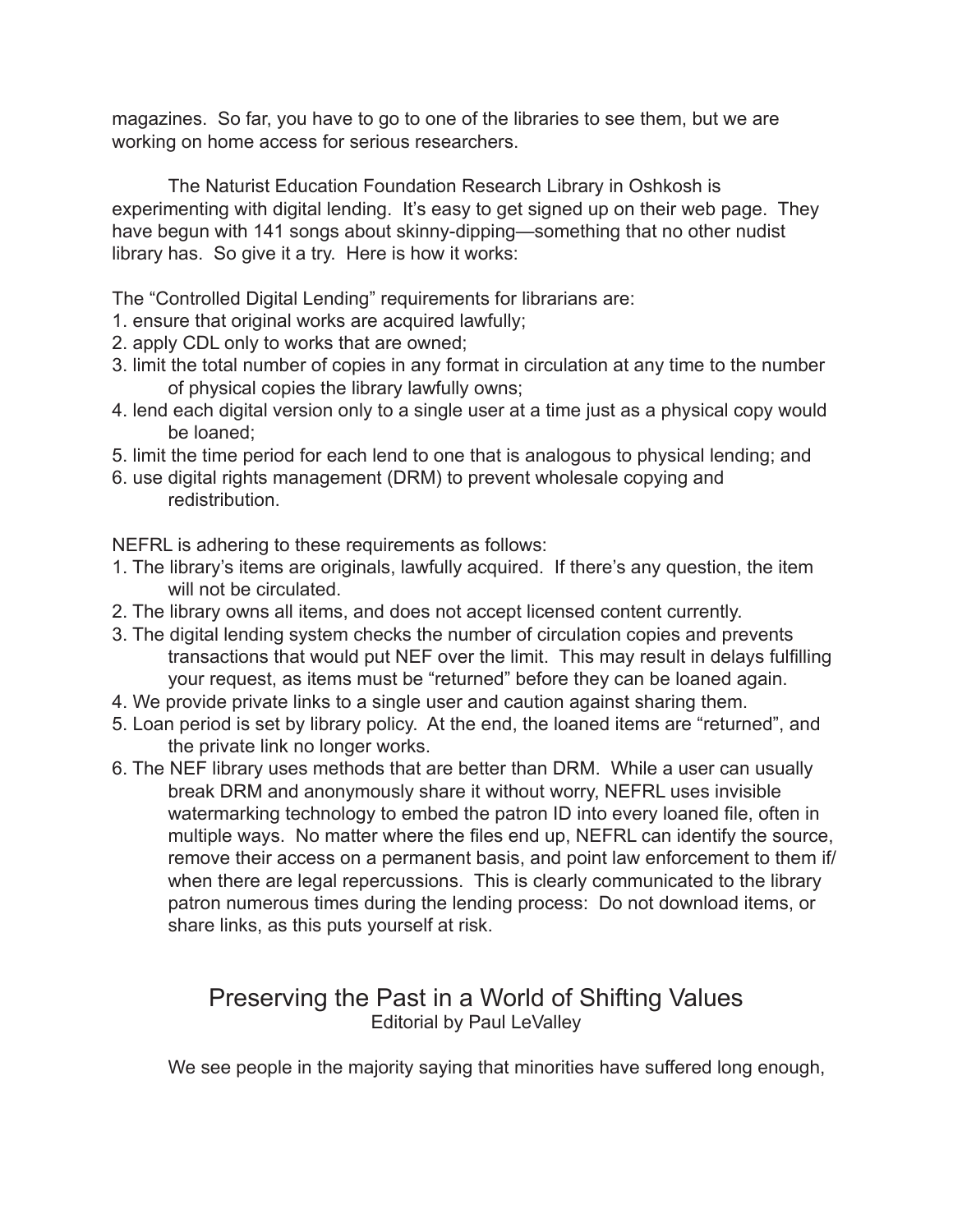magazines. So far, you have to go to one of the libraries to see them, but we are working on home access for serious researchers.

The Naturist Education Foundation Research Library in Oshkosh is experimenting with digital lending. It's easy to get signed up on their web page. They have begun with 141 songs about skinny-dipping—something that no other nudist library has. So give it a try. Here is how it works:

The "Controlled Digital Lending" requirements for librarians are:

- 1. ensure that original works are acquired lawfully;
- 2. apply CDL only to works that are owned;
- 3. limit the total number of copies in any format in circulation at any time to the number of physical copies the library lawfully owns;
- 4. lend each digital version only to a single user at a time just as a physical copy would be loaned;
- 5. limit the time period for each lend to one that is analogous to physical lending; and
- 6. use digital rights management (DRM) to prevent wholesale copying and redistribution.

NEFRL is adhering to these requirements as follows:

- 1. The library's items are originals, lawfully acquired. If there's any question, the item will not be circulated.
- 2. The library owns all items, and does not accept licensed content currently.
- 3. The digital lending system checks the number of circulation copies and prevents transactions that would put NEF over the limit. This may result in delays fulfilling your request, as items must be "returned" before they can be loaned again.
- 4. We provide private links to a single user and caution against sharing them.
- 5. Loan period is set by library policy. At the end, the loaned items are "returned", and the private link no longer works.
- 6. The NEF library uses methods that are better than DRM. While a user can usually break DRM and anonymously share it without worry, NEFRL uses invisible watermarking technology to embed the patron ID into every loaned file, often in multiple ways. No matter where the files end up, NEFRL can identify the source, remove their access on a permanent basis, and point law enforcement to them if/ when there are legal repercussions. This is clearly communicated to the library patron numerous times during the lending process: Do not download items, or share links, as this puts yourself at risk.

## Preserving the Past in a World of Shifting Values Editorial by Paul LeValley

 We see people in the majority saying that minorities have suffered long enough,